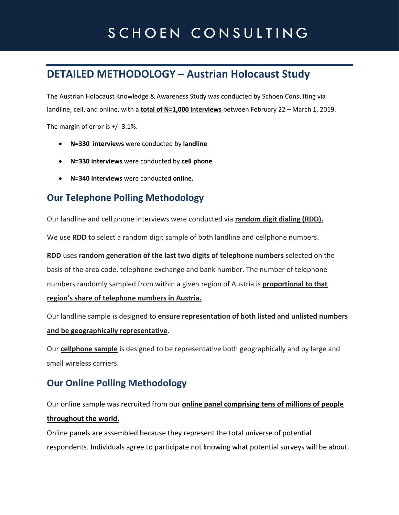# SCHOEN CONSULTING

## **DETAILED METHODOLOGY – Austrian Holocaust Study**

The Austrian Holocaust Knowledge & Awareness Study was conducted by Schoen Consulting via landline, cell, and online, with a **total of N=1,000 interviews** between February 22 – March 1, 2019.

The margin of error is +/- 3.1%.

- **N=330 interviews** were conducted by **landline**
- **N=330 interviews** were conducted by **cell phone**
- **N=340 interviews** were conducted **online.**

#### **Our Telephone Polling Methodology**

Our landline and cell phone interviews were conducted via **random digit dialing (RDD).**

We use **RDD** to select a random digit sample of both landline and cellphone numbers.

**RDD** uses **random generation of the last two digits of telephone numbers** selected on the basis of the area code, telephone exchange and bank number. The number of telephone numbers randomly sampled from within a given region of Austria is **proportional to that region's share of telephone numbers in Austria.**

Our landline sample is designed to **ensure representation of both listed and unlisted numbers and be geographically representative**.

Our **cellphone sample** is designed to be representative both geographically and by large and small wireless carriers.

#### **Our Online Polling Methodology**

Our online sample was recruited from our **online panel comprising tens of millions of people throughout the world.** 

Online panels are assembled because they represent the total universe of potential respondents. Individuals agree to participate not knowing what potential surveys will be about.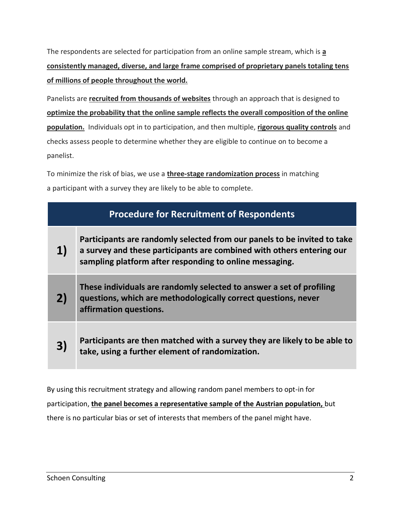The respondents are selected for participation from an online sample stream, which is **a consistently managed, diverse, and large frame comprised of proprietary panels totaling tens of millions of people throughout the world.**

Panelists are **recruited from thousands of websites** through an approach that is designed to **optimize the probability that the online sample reflects the overall composition of the online population.** Individuals opt in to participation, and then multiple, **rigorous quality controls** and checks assess people to determine whether they are eligible to continue on to become a panelist.

To minimize the risk of bias, we use a **three-stage randomization process** in matching a participant with a survey they are likely to be able to complete.

| <b>Procedure for Recruitment of Respondents</b> |                                                                                                                                                                                                              |
|-------------------------------------------------|--------------------------------------------------------------------------------------------------------------------------------------------------------------------------------------------------------------|
| 1)                                              | Participants are randomly selected from our panels to be invited to take<br>a survey and these participants are combined with others entering our<br>sampling platform after responding to online messaging. |
| 2)                                              | These individuals are randomly selected to answer a set of profiling<br>questions, which are methodologically correct questions, never<br>affirmation questions.                                             |
| 3)                                              | Participants are then matched with a survey they are likely to be able to<br>take, using a further element of randomization.                                                                                 |

By using this recruitment strategy and allowing random panel members to opt-in for participation, **the panel becomes a representative sample of the Austrian population,** but there is no particular bias or set of interests that members of the panel might have.